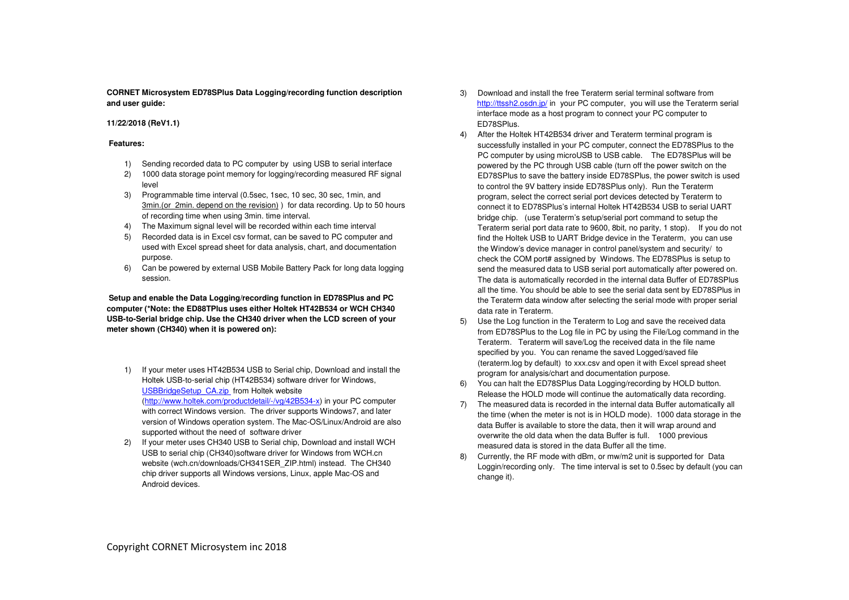**CORNET Microsystem ED78SPlus Data Logging/recording function description and user guide:** 

## **11/22/2018 (ReV1.1)**

## **Features:**

- 1) Sending recorded data to PC computer by using USB to serial interface
- 2) 1000 data storage point memory for logging/recording measured RF signal level
- 3) Programmable time interval (0.5sec, 1sec, 10 sec, 30 sec, 1min, and 3min.(or 2min. depend on the revision) ) for data recording. Up to 50 hours of recording time when using 3min. time interval.
- 4) The Maximum signal level will be recorded within each time interval
- 5) Recorded data is in Excel csv format, can be saved to PC computer and used with Excel spread sheet for data analysis, chart, and documentation purpose.
- 6) Can be powered by external USB Mobile Battery Pack for long data logging session.

**Setup and enable the Data Logging/recording function in ED78SPlus and PC computer (\*Note: the ED88TPlus uses either Holtek HT42B534 or WCH CH340 USB-to-Serial bridge chip. Use the CH340 driver when the LCD screen of your meter shown (CH340) when it is powered on):** 

- 1) If your meter uses HT42B534 USB to Serial chip, Download and install the Holtek USB-to-serial chip (HT42B534) software driver for Windows, USBBridgeSetup\_CA.zip from Holtek website (http://www.holtek.com/productdetail/-/vg/42B534-x) in your PC computer with correct Windows version. The driver supports Windows7, and later version of Windows operation system. The Mac-OS/Linux/Android are also supported without the need of software driver
- 2) If your meter uses CH340 USB to Serial chip, Download and install WCH USB to serial chip (CH340)software driver for Windows from WCH.cn website (wch.cn/downloads/CH341SER\_ZIP.html) instead. The CH340 chip driver supports all Windows versions, Linux, apple Mac-OS and Android devices.
- 3) Download and install the free Teraterm serial terminal software from http://ttssh2.osdn.jp/ in your PC computer, you will use the Teraterm serial interface mode as a host program to connect your PC computer to ED78SPlus.
- 4) After the Holtek HT42B534 driver and Teraterm terminal program is successfully installed in your PC computer, connect the ED78SPlus to the PC computer by using microUSB to USB cable. The ED78SPlus will be powered by the PC through USB cable (turn off the power switch on the ED78SPlus to save the battery inside ED78SPlus, the power switch is used to control the 9V battery inside ED78SPlus only). Run the Teraterm program, select the correct serial port devices detected by Teraterm to connect it to ED78SPlus's internal Holtek HT42B534 USB to serial UART bridge chip. (use Teraterm's setup/serial port command to setup the Teraterm serial port data rate to 9600, 8bit, no parity, 1 stop). If you do not find the Holtek USB to UART Bridge device in the Teraterm, you can use the Window's device manager in control panel/system and security/ to check the COM port# assigned by Windows. The ED78SPlus is setup to send the measured data to USB serial port automatically after powered on. The data is automatically recorded in the internal data Buffer of ED78SPlus all the time. You should be able to see the serial data sent by ED78SPlus in the Teraterm data window after selecting the serial mode with proper serial data rate in Teraterm.
- 5) Use the Log function in the Teraterm to Log and save the received data from ED78SPlus to the Log file in PC by using the File/Log command in the Teraterm. Teraterm will save/Log the received data in the file name specified by you. You can rename the saved Logged/saved file (teraterm.log by default) to xxx.csv and open it with Excel spread sheet program for analysis/chart and documentation purpose.
- 6) You can halt the ED78SPlus Data Logging/recording by HOLD button. Release the HOLD mode will continue the automatically data recording.
- 7) The measured data is recorded in the internal data Buffer automatically all the time (when the meter is not is in HOLD mode). 1000 data storage in the data Buffer is available to store the data, then it will wrap around and overwrite the old data when the data Buffer is full. 1000 previous measured data is stored in the data Buffer all the time.
- 8) Currently, the RF mode with dBm, or mw/m2 unit is supported for Data Loggin/recording only. The time interval is set to 0.5sec by default (you can change it).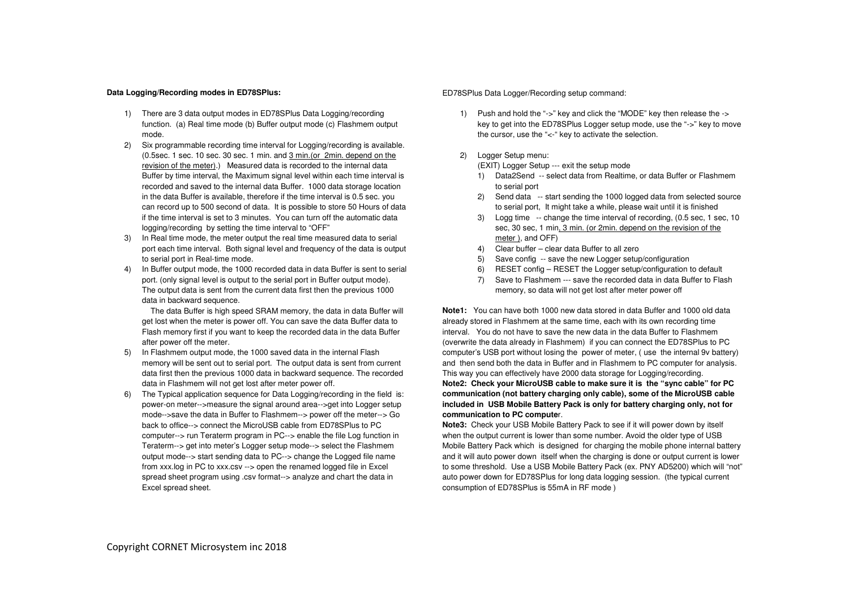## **Data Logging/Recording modes in ED78SPlus:**

- 1) There are 3 data output modes in ED78SPlus Data Logging/recording function. (a) Real time mode (b) Buffer output mode (c) Flashmem output mode.
- 2) Six programmable recording time interval for Logging/recording is available. (0.5sec. 1 sec. 10 sec. 30 sec. 1 min. and 3 min.(or 2min. depend on the revision of the meter).) Measured data is recorded to the internal data Buffer by time interval, the Maximum signal level within each time interval is recorded and saved to the internal data Buffer. 1000 data storage location in the data Buffer is available, therefore if the time interval is 0.5 sec. you can record up to 500 second of data. It is possible to store 50 Hours of data if the time interval is set to 3 minutes. You can turn off the automatic data logging/recording by setting the time interval to "OFF"
- 3) In Real time mode, the meter output the real time measured data to serial port each time interval. Both signal level and frequency of the data is output to serial port in Real-time mode.
- 4) In Buffer output mode, the 1000 recorded data in data Buffer is sent to serial port. (only signal level is output to the serial port in Buffer output mode). The output data is sent from the current data first then the previous 1000 data in backward sequence.

 The data Buffer is high speed SRAM memory, the data in data Buffer will get lost when the meter is power off. You can save the data Buffer data to Flash memory first if you want to keep the recorded data in the data Buffer after power off the meter.

- 5) In Flashmem output mode, the 1000 saved data in the internal Flash memory will be sent out to serial port. The output data is sent from current data first then the previous 1000 data in backward sequence. The recorded data in Flashmem will not get lost after meter power off.
- 6) The Typical application sequence for Data Logging/recording in the field is: power-on meter-->measure the signal around area-->get into Logger setup mode-->save the data in Buffer to Flashmem--> power off the meter--> Go back to office--> connect the MicroUSB cable from ED78SPlus to PC computer--> run Teraterm program in PC--> enable the file Log function in Teraterm--> get into meter's Logger setup mode--> select the Flashmem output mode--> start sending data to PC--> change the Logged file name from xxx.log in PC to xxx.csv --> open the renamed logged file in Excel spread sheet program using .csv format--> analyze and chart the data in Excel spread sheet.

# ED78SPlus Data Logger/Recording setup command:

- 1) Push and hold the "->" key and click the "MODE" key then release the -> key to get into the ED78SPlus Logger setup mode, use the "->" key to move the cursor, use the "<-" key to activate the selection.
- 2) Logger Setup menu:

(EXIT) Logger Setup --- exit the setup mode

- 1) Data2Send -- select data from Realtime, or data Buffer or Flashmem to serial port
- 2) Send data -- start sending the 1000 logged data from selected source to serial port, It might take a while, please wait until it is finished
- 3) Logg time -- change the time interval of recording, (0.5 sec, 1 sec, 10 sec, 30 sec, 1 min, 3 min. (or 2min. depend on the revision of the meter ), and OFF)
- 4) Clear buffer clear data Buffer to all zero
- 5) Save config -- save the new Logger setup/configuration
- 6) RESET config RESET the Logger setup/configuration to default
- 7) Save to Flashmem --- save the recorded data in data Buffer to Flash memory, so data will not get lost after meter power off

**Note1:** You can have both 1000 new data stored in data Buffer and 1000 old data already stored in Flashmem at the same time, each with its own recording time interval. You do not have to save the new data in the data Buffer to Flashmem (overwrite the data already in Flashmem) if you can connect the ED78SPlus to PC computer's USB port without losing the power of meter, ( use the internal 9v battery) and then send both the data in Buffer and in Flashmem to PC computer for analysis. This way you can effectively have 2000 data storage for Logging/recording. **Note2: Check your MicroUSB cable to make sure it is the "sync cable" for PC communication (not battery charging only cable), some of the MicroUSB cable included in USB Mobile Battery Pack is only for battery charging only, not for communication to PC compute**r.

 **Note3:** Check your USB Mobile Battery Pack to see if it will power down by itself when the output current is lower than some number. Avoid the older type of USB Mobile Battery Pack which is designed for charging the mobile phone internal battery and it will auto power down itself when the charging is done or output current is lower to some threshold. Use a USB Mobile Battery Pack (ex. PNY AD5200) which will "not" auto power down for ED78SPlus for long data logging session. (the typical current consumption of ED78SPlus is 55mA in RF mode )